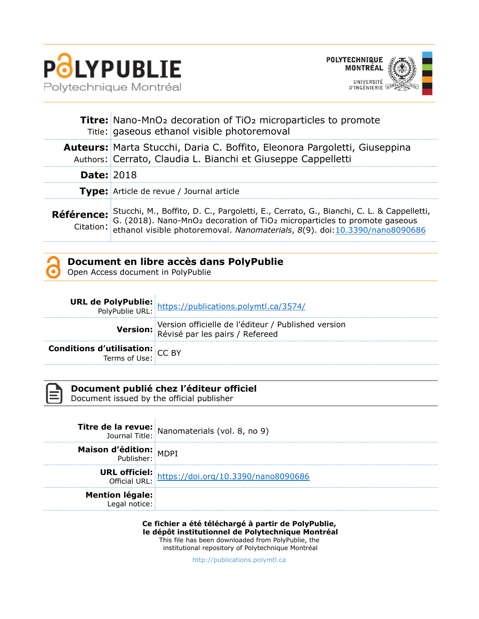



|                   | <b>Titre:</b> Nano-MnO <sub>2</sub> decoration of TiO <sub>2</sub> microparticles to promote<br>Title: gaseous ethanol visible photoremoval                                                                                                               |
|-------------------|-----------------------------------------------------------------------------------------------------------------------------------------------------------------------------------------------------------------------------------------------------------|
|                   | <b>Auteurs:</b> Marta Stucchi, Daria C. Boffito, Eleonora Pargoletti, Giuseppina<br>Authors: Cerrato, Claudia L. Bianchi et Giuseppe Cappelletti                                                                                                          |
| <b>Date: 2018</b> |                                                                                                                                                                                                                                                           |
|                   | Type: Article de revue / Journal article                                                                                                                                                                                                                  |
| Référence:        | Stucchi, M., Boffito, D. C., Pargoletti, E., Cerrato, G., Bianchi, C. L. & Cappelletti, G. (2018). Nano-MnO2 decoration of TiO2 microparticles to promote gaseous<br>Citation: ethanol visible photoremoval. Nanomaterials, 8(9). doi:10.3390/nano8090686 |



# **Document en libre accès dans PolyPublie**

Open Access document in PolyPublie

|                                                           | <b>URL de PolyPublie:</b> https://publications.polymtl.ca/3574/                        |
|-----------------------------------------------------------|----------------------------------------------------------------------------------------|
|                                                           | Version officielle de l'éditeur / Published version<br>Révisé par les pairs / Refereed |
| <b>Conditions d'utilisation:</b> $CC$ BY<br>Terms of Use: |                                                                                        |



### **Document publié chez l'éditeur officiel**

Document issued by the official publisher

|                                         | <b>Titre de la revue:</b> Nanomaterials (vol. 8, no 9)                    |
|-----------------------------------------|---------------------------------------------------------------------------|
| Maison d'édition: MDPI                  |                                                                           |
|                                         | <b>URL officiel:</b><br>Official URL: https://doi.org/10.3390/nano8090686 |
| <b>Mention légale:</b><br>Legal notice: |                                                                           |

**Ce fichier a été téléchargé à partir de PolyPublie, le dépôt institutionnel de Polytechnique Montréal** This file has been downloaded from PolyPublie, the

institutional repository of Polytechnique Montréal

[http://publications.polymtl.ca](http://publications.polymtl.ca/)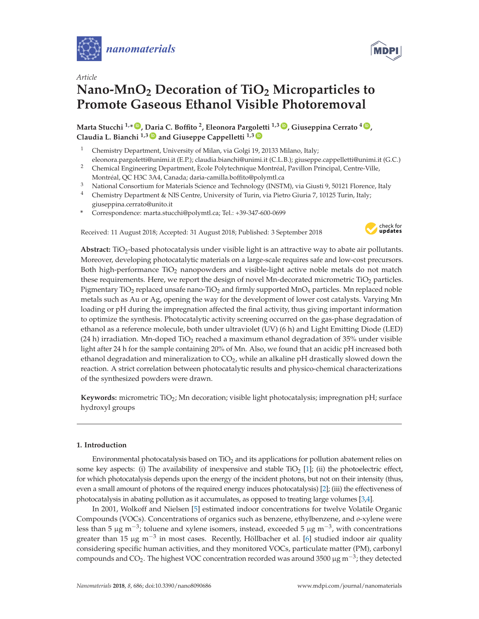



## *Article* **Nano-MnO2 Decoration of TiO2 Microparticles to Promote Gaseous Ethanol Visible Photoremoval**

**Marta Stucchi 1,\* ID , Daria C. Boffito 2, Eleonora Pargoletti 1,3 ID , Giuseppina Cerrato <sup>4</sup> ID , Claudia L. Bianchi 1,3 ID and Giuseppe Cappelletti 1,3 ID**

- <sup>1</sup> Chemistry Department, University of Milan, via Golgi 19, 20133 Milano, Italy; eleonora.pargoletti@unimi.it (E.P.); claudia.bianchi@unimi.it (C.L.B.); giuseppe.cappelletti@unimi.it (G.C.)
- <sup>2</sup> Chemical Engineering Department, Ècole Polytechnique Montréal, Pavillon Principal, Centre-Ville, Montréal, QC H3C 3A4, Canada; daria-camilla.boffito@polymtl.ca
- <sup>3</sup> National Consortium for Materials Science and Technology (INSTM), via Giusti 9, 50121 Florence, Italy
- <sup>4</sup> Chemistry Department & NIS Centre, University of Turin, via Pietro Giuria 7, 10125 Turin, Italy; giuseppina.cerrato@unito.it
- **\*** Correspondence: marta.stucchi@polymtl.ca; Tel.: +39-347-600-0699

Received: 11 August 2018; Accepted: 31 August 2018; Published: 3 September 2018



Abstract: TiO<sub>2</sub>-based photocatalysis under visible light is an attractive way to abate air pollutants. Moreover, developing photocatalytic materials on a large-scale requires safe and low-cost precursors. Both high-performance  $TiO<sub>2</sub>$  nanopowders and visible-light active noble metals do not match these requirements. Here, we report the design of novel Mn-decorated micrometric  $TiO<sub>2</sub>$  particles. Pigmentary TiO<sub>2</sub> replaced unsafe nano-TiO<sub>2</sub> and firmly supported MnO<sub>x</sub> particles. Mn replaced noble metals such as Au or Ag, opening the way for the development of lower cost catalysts. Varying Mn loading or pH during the impregnation affected the final activity, thus giving important information to optimize the synthesis. Photocatalytic activity screening occurred on the gas-phase degradation of ethanol as a reference molecule, both under ultraviolet (UV) (6 h) and Light Emitting Diode (LED) (24 h) irradiation. Mn-doped TiO<sub>2</sub> reached a maximum ethanol degradation of 35% under visible light after 24 h for the sample containing 20% of Mn. Also, we found that an acidic pH increased both ethanol degradation and mineralization to  $CO<sub>2</sub>$ , while an alkaline pH drastically slowed down the reaction. A strict correlation between photocatalytic results and physico-chemical characterizations of the synthesized powders were drawn.

**Keywords:** micrometric TiO2; Mn decoration; visible light photocatalysis; impregnation pH; surface hydroxyl groups

#### **1. Introduction**

Environmental photocatalysis based on  $TiO<sub>2</sub>$  and its applications for pollution abatement relies on some key aspects: (i) The availability of inexpensive and stable TiO<sub>2</sub> [1]; (ii) the photoelectric effect, for which photocatalysis depends upon the energy of the incident photons, but not on their intensity (thus, even a small amount of photons of the required energy induces photocatalysis) [2]; (iii) the effectiveness of photocatalysis in abating pollution as it accumulates, as opposed to treating large volumes [3,4].

In 2001, Wolkoff and Nielsen [5] estimated indoor concentrations for twelve Volatile Organic Compounds (VOCs). Concentrations of organics such as benzene, ethylbenzene, and *o*-xylene were less than 5 μg m<sup>-3</sup>; toluene and xylene isomers, instead, exceeded 5 μg m<sup>-3</sup>, with concentrations greater than 15  $\mu$ g m<sup>-3</sup> in most cases. Recently, Höllbacher et al. [6] studied indoor air quality considering specific human activities, and they monitored VOCs, particulate matter (PM), carbonyl compounds and CO<sub>2</sub>. The highest VOC concentration recorded was around 3500  $\mu$ g m<sup>-3</sup>; they detected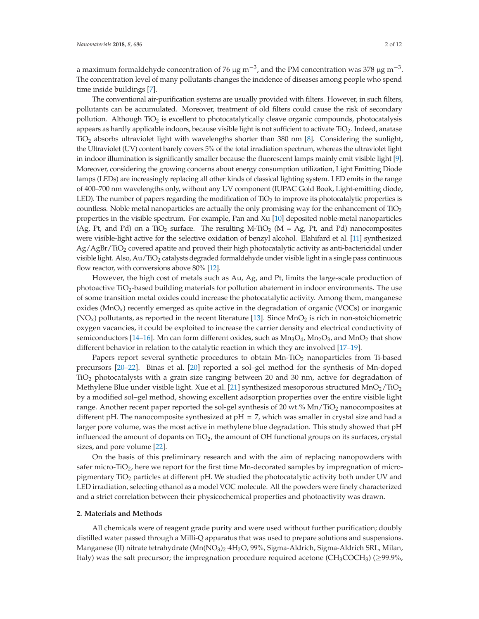a maximum formaldehyde concentration of 76 μg m<sup>-3</sup>, and the PM concentration was 378 μg m<sup>-3</sup>. The concentration level of many pollutants changes the incidence of diseases among people who spend time inside buildings [7].

The conventional air-purification systems are usually provided with filters. However, in such filters, pollutants can be accumulated. Moreover, treatment of old filters could cause the risk of secondary pollution. Although TiO2 is excellent to photocatalytically cleave organic compounds, photocatalysis appears as hardly applicable indoors, because visible light is not sufficient to activate TiO2. Indeed, anatase TiO2 absorbs ultraviolet light with wavelengths shorter than 380 nm [8]. Considering the sunlight, the Ultraviolet (UV) content barely covers 5% of the total irradiation spectrum, whereas the ultraviolet light in indoor illumination is significantly smaller because the fluorescent lamps mainly emit visible light [9]. Moreover, considering the growing concerns about energy consumption utilization, Light Emitting Diode lamps (LEDs) are increasingly replacing all other kinds of classical lighting system. LED emits in the range of 400–700 nm wavelengths only, without any UV component (IUPAC Gold Book, Light-emitting diode, LED). The number of papers regarding the modification of  $T_1O_2$  to improve its photocatalytic properties is countless. Noble metal nanoparticles are actually the only promising way for the enhancement of TiO<sub>2</sub> properties in the visible spectrum. For example, Pan and Xu [10] deposited noble-metal nanoparticles (Ag, Pt, and Pd) on a TiO<sub>2</sub> surface. The resulting M-TiO<sub>2</sub> (M = Ag, Pt, and Pd) nanocomposites were visible-light active for the selective oxidation of benzyl alcohol. Elahifard et al. [11] synthesized Ag/AgBr/TiO2 covered apatite and proved their high photocatalytic activity as anti-bactericidal under visible light. Also,  $Au/TiO<sub>2</sub>$  catalysts degraded formaldehyde under visible light in a single pass continuous flow reactor, with conversions above 80% [12].

However, the high cost of metals such as Au, Ag, and Pt, limits the large-scale production of photoactive  $TiO<sub>2</sub>$ -based building materials for pollution abatement in indoor environments. The use of some transition metal oxides could increase the photocatalytic activity. Among them, manganese oxides ( $MnO<sub>x</sub>$ ) recently emerged as quite active in the degradation of organic (VOCs) or inorganic  $(NO<sub>x</sub>)$  pollutants, as reported in the recent literature [13]. Since MnO<sub>2</sub> is rich in non-stoichiometric oxygen vacancies, it could be exploited to increase the carrier density and electrical conductivity of semiconductors [14–16]. Mn can form different oxides, such as  $Mn_3O_4$ ,  $Mn_2O_3$ , and  $MnO_2$  that show different behavior in relation to the catalytic reaction in which they are involved [17–19].

Papers report several synthetic procedures to obtain  $Mn-TiO<sub>2</sub>$  nanoparticles from Ti-based precursors [20–22]. Binas et al. [20] reported a sol–gel method for the synthesis of Mn-doped  $TiO<sub>2</sub>$  photocatalysts with a grain size ranging between 20 and 30 nm, active for degradation of Methylene Blue under visible light. Xue et al. [21] synthesized mesoporous structured  $MnO_2/TiO_2$ by a modified sol–gel method, showing excellent adsorption properties over the entire visible light range. Another recent paper reported the sol-gel synthesis of 20 wt.%  $Mn/TiO<sub>2</sub>$  nanocomposites at different pH. The nanocomposite synthesized at  $pH = 7$ , which was smaller in crystal size and had a larger pore volume, was the most active in methylene blue degradation. This study showed that pH influenced the amount of dopants on  $TiO<sub>2</sub>$ , the amount of OH functional groups on its surfaces, crystal sizes, and pore volume [22].

On the basis of this preliminary research and with the aim of replacing nanopowders with safer micro-TiO<sub>2</sub>, here we report for the first time Mn-decorated samples by impregnation of micropigmentary TiO<sub>2</sub> particles at different pH. We studied the photocatalytic activity both under UV and LED irradiation, selecting ethanol as a model VOC molecule. All the powders were finely characterized and a strict correlation between their physicochemical properties and photoactivity was drawn.

#### **2. Materials and Methods**

All chemicals were of reagent grade purity and were used without further purification; doubly distilled water passed through a Milli-Q apparatus that was used to prepare solutions and suspensions. Manganese (II) nitrate tetrahydrate (Mn(NO<sub>3</sub>)<sub>2</sub>·4H<sub>2</sub>O, 99%, Sigma-Aldrich, Sigma-Aldrich SRL, Milan, Italy) was the salt precursor; the impregnation procedure required acetone (CH<sub>3</sub>COCH<sub>3</sub>) ( $\geq$ 99.9%,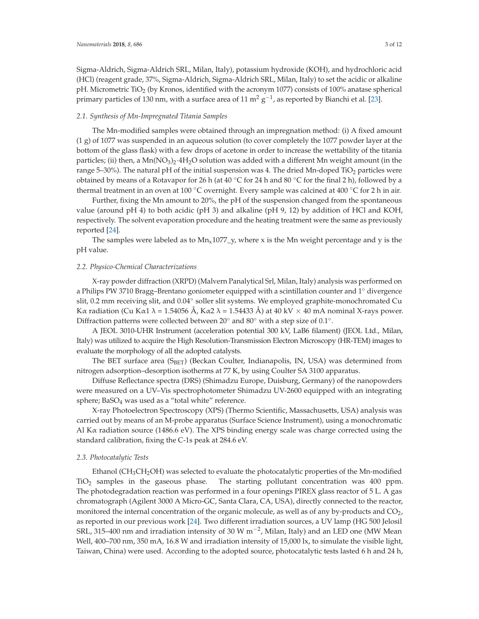Sigma-Aldrich, Sigma-Aldrich SRL, Milan, Italy), potassium hydroxide (KOH), and hydrochloric acid (HCl) (reagent grade, 37%, Sigma-Aldrich, Sigma-Aldrich SRL, Milan, Italy) to set the acidic or alkaline pH. Micrometric TiO<sub>2</sub> (by Kronos, identified with the acronym 1077) consists of 100% anatase spherical primary particles of 130 nm, with a surface area of 11 m<sup>2</sup>  $g^{-1}$ , as reported by Bianchi et al. [23].

#### *2.1. Synthesis of Mn-Impregnated Titania Samples*

The Mn-modified samples were obtained through an impregnation method: (i) A fixed amount (1 g) of 1077 was suspended in an aqueous solution (to cover completely the 1077 powder layer at the bottom of the glass flask) with a few drops of acetone in order to increase the wettability of the titania particles; (ii) then, a  $Mn(NO_3)_2.4H_2O$  solution was added with a different Mn weight amount (in the range 5–30%). The natural pH of the initial suspension was 4. The dried Mn-doped TiO<sub>2</sub> particles were obtained by means of a Rotavapor for 26 h (at  $40 °C$  for 24 h and 80 °C for the final 2 h), followed by a thermal treatment in an oven at 100 °C overnight. Every sample was calcined at 400 °C for 2 h in air.

Further, fixing the Mn amount to 20%, the pH of the suspension changed from the spontaneous value (around pH 4) to both acidic (pH 3) and alkaline (pH 9, 12) by addition of HCl and KOH, respectively. The solvent evaporation procedure and the heating treatment were the same as previously reported [24].

The samples were labeled as to  $Mn_x1077_y$ , where x is the Mn weight percentage and y is the pH value.

#### *2.2. Physico-Chemical Characterizations*

X-ray powder diffraction (XRPD) (Malvern Panalytical Srl, Milan, Italy) analysis was performed on a Philips PW 3710 Bragg–Brentano goniometer equipped with a scintillation counter and 1◦ divergence slit, 0.2 mm receiving slit, and 0.04° soller slit systems. We employed graphite-monochromated Cu Kα radiation (Cu Kα1 λ = 1.54056 Å, Kα2 λ = 1.54433 Å) at 40 kV  $\times$  40 mA nominal X-rays power. Diffraction patterns were collected between 20◦ and 80◦ with a step size of 0.1◦.

A JEOL 3010-UHR Instrument (acceleration potential 300 kV, LaB6 filament) (JEOL Ltd., Milan, Italy) was utilized to acquire the High Resolution-Transmission Electron Microscopy (HR-TEM) images to evaluate the morphology of all the adopted catalysts.

The BET surface area (S<sub>BET</sub>) (Beckan Coulter, Indianapolis, IN, USA) was determined from nitrogen adsorption–desorption isotherms at 77 K, by using Coulter SA 3100 apparatus.

Diffuse Reflectance spectra (DRS) (Shimadzu Europe, Duisburg, Germany) of the nanopowders were measured on a UV–Vis spectrophotometer Shimadzu UV-2600 equipped with an integrating sphere; BaSO<sub>4</sub> was used as a "total white" reference.

X-ray Photoelectron Spectroscopy (XPS) (Thermo Scientific, Massachusetts, USA) analysis was carried out by means of an M-probe apparatus (Surface Science Instrument), using a monochromatic Al K $\alpha$  radiation source (1486.6 eV). The XPS binding energy scale was charge corrected using the standard calibration, fixing the C-1s peak at 284.6 eV.

#### *2.3. Photocatalytic Tests*

Ethanol ( $CH<sub>3</sub>CH<sub>2</sub>OH$ ) was selected to evaluate the photocatalytic properties of the Mn-modified  $TiO<sub>2</sub>$  samples in the gaseous phase. The starting pollutant concentration was 400 ppm. The photodegradation reaction was performed in a four openings PIREX glass reactor of 5 L. A gas chromatograph (Agilent 3000 A Micro-GC, Santa Clara, CA, USA), directly connected to the reactor, monitored the internal concentration of the organic molecule, as well as of any by-products and CO<sub>2</sub>, as reported in our previous work [24]. Two different irradiation sources, a UV lamp (HG 500 Jelosil SRL, 315–400 nm and irradiation intensity of 30 W  $\text{m}^{-2}$ , Milan, Italy) and an LED one (MW Mean Well, 400-700 nm, 350 mA, 16.8 W and irradiation intensity of 15,000 lx, to simulate the visible light, Taiwan, China) were used. According to the adopted source, photocatalytic tests lasted 6 h and 24 h,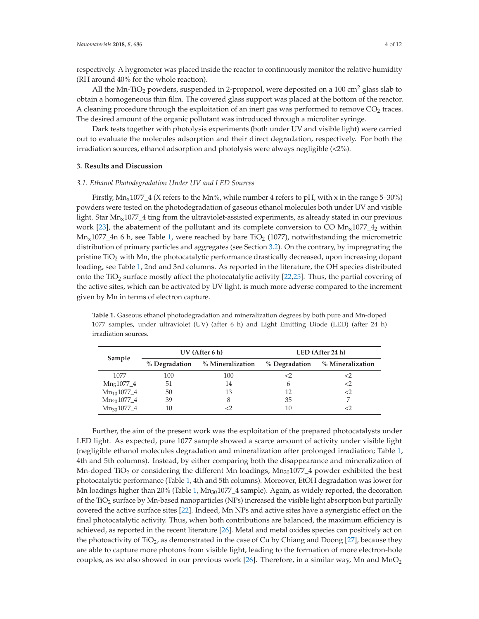respectively. A hygrometer was placed inside the reactor to continuously monitor the relative humidity (RH around 40% for the whole reaction).

All the Mn-TiO<sub>2</sub> powders, suspended in 2-propanol, were deposited on a 100 cm<sup>2</sup> glass slab to obtain a homogeneous thin film. The covered glass support was placed at the bottom of the reactor. A cleaning procedure through the exploitation of an inert gas was performed to remove  $CO<sub>2</sub>$  traces. The desired amount of the organic pollutant was introduced through a microliter syringe.

Dark tests together with photolysis experiments (both under UV and visible light) were carried out to evaluate the molecules adsorption and their direct degradation, respectively. For both the irradiation sources, ethanol adsorption and photolysis were always negligible (<2%).

#### **3. Results and Discussion**

#### *3.1. Ethanol Photodegradation Under UV and LED Sources*

Firstly,  $Mn_x1077_4$  (X refers to the Mn%, while number 4 refers to pH, with x in the range 5–30%) powders were tested on the photodegradation of gaseous ethanol molecules both under UV and visible light. Star  $Mn_x1077_4$  ting from the ultraviolet-assisted experiments, as already stated in our previous work [23], the abatement of the pollutant and its complete conversion to CO  $Mn_x1077_4$ <sub>2</sub> within  $Mn<sub>x</sub>1077$ <sub>-4</sub>n 6 h, see Table 1, were reached by bare TiO<sub>2</sub> (1077), notwithstanding the micrometric distribution of primary particles and aggregates (see Section 3.2). On the contrary, by impregnating the pristine TiO<sub>2</sub> with Mn, the photocatalytic performance drastically decreased, upon increasing dopant loading, see Table 1, 2nd and 3rd columns. As reported in the literature, the OH species distributed onto the TiO<sub>2</sub> surface mostly affect the photocatalytic activity [22,25]. Thus, the partial covering of the active sites, which can be activated by UV light, is much more adverse compared to the increment given by Mn in terms of electron capture.

**Sample UV (After 6 h) LED (After 24 h) % Degradation % Mineralization % Degradation % Mineralization** 1077 100 100 <2 <2  $Mn_51077\_4$  51 14 6 <2<br>  $Mn_{10}1077\_4$  50 13 12 <2  $Mn_{10}1077\_4$  50  $13$  12  $\leq$ <br> $Mn_{20}1077\_4$  39 8 35 7  $Mn_{20}1077\_4$  39 8 35 7<br> $Mn_{30}1077\_4$  10 <2 10 <2 Mn<sub>30</sub>1077\_4

**Table 1.** Gaseous ethanol photodegradation and mineralization degrees by both pure and Mn-doped 1077 samples, under ultraviolet (UV) (after 6 h) and Light Emitting Diode (LED) (after 24 h) irradiation sources.

Further, the aim of the present work was the exploitation of the prepared photocatalysts under LED light. As expected, pure 1077 sample showed a scarce amount of activity under visible light (negligible ethanol molecules degradation and mineralization after prolonged irradiation; Table 1, 4th and 5th columns). Instead, by either comparing both the disappearance and mineralization of Mn-doped TiO<sub>2</sub> or considering the different Mn loadings,  $Mn_{20}1077\_4$  powder exhibited the best photocatalytic performance (Table 1, 4th and 5th columns). Moreover, EtOH degradation was lower for Mn loadings higher than 20% (Table 1, Mn<sub>30</sub>1077<sub>-4</sub> sample). Again, as widely reported, the decoration of the TiO<sub>2</sub> surface by Mn-based nanoparticles (NPs) increased the visible light absorption but partially covered the active surface sites [22]. Indeed, Mn NPs and active sites have a synergistic effect on the final photocatalytic activity. Thus, when both contributions are balanced, the maximum efficiency is achieved, as reported in the recent literature [26]. Metal and metal oxides species can positively act on the photoactivity of  $TiO<sub>2</sub>$ , as demonstrated in the case of Cu by Chiang and Doong [27], because they are able to capture more photons from visible light, leading to the formation of more electron-hole couples, as we also showed in our previous work [26]. Therefore, in a similar way, Mn and  $MnO<sub>2</sub>$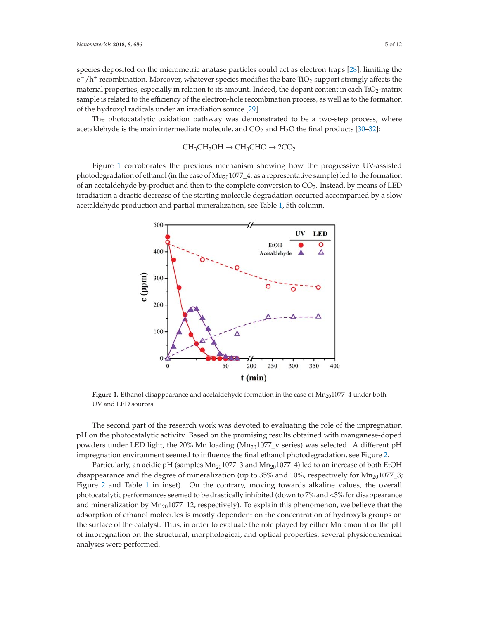species deposited on the micrometric anatase particles could act as electron traps [28], limiting the  $e^-/h^+$  recombination. Moreover, whatever species modifies the bare TiO<sub>2</sub> support strongly affects the material properties, especially in relation to its amount. Indeed, the dopant content in each  $TiO<sub>2</sub>$ -matrix sample is related to the efficiency of the electron-hole recombination process, as well as to the formation of the hydroxyl radicals under an irradiation source [29].

The photocatalytic oxidation pathway was demonstrated to be a two-step process, where acetaldehyde is the main intermediate molecule, and  $CO<sub>2</sub>$  and  $H<sub>2</sub>O$  the final products [30–32]:

$$
CH_3CH_2OH \to CH_3CHO \to 2CO_2
$$

Figure 1 corroborates the previous mechanism showing how the progressive UV-assisted photodegradation of ethanol (in the case of  $Mn_{20}1077\_4$ , as a representative sample) led to the formation of an acetaldehyde by-product and then to the complete conversion to  $CO<sub>2</sub>$ . Instead, by means of LED irradiation a drastic decrease of the starting molecule degradation occurred accompanied by a slow acetaldehyde production and partial mineralization, see Table 1, 5th column.



Figure 1. Ethanol disappearance and acetaldehyde formation in the case of Mn<sub>20</sub>1077<sub>-4</sub> under both UV and LED sources.

The second part of the research work was devoted to evaluating the role of the impregnation pH on the photocatalytic activity. Based on the promising results obtained with manganese-doped powders under LED light, the 20% Mn loading ( $Mn_{20}1077$  geries) was selected. A different pH impregnation environment seemed to influence the final ethanol photodegradation, see Figure 2.

Particularly, an acidic pH (samples  $Mn_{20}1077_{-}3$  and  $Mn_{20}1077_{-}4$ ) led to an increase of both EtOH disappearance and the degree of mineralization (up to 35% and 10%, respectively for  $Mn_{20}1077_3$ ; Figure 2 and Table 1 in inset). On the contrary, moving towards alkaline values, the overall photocatalytic performances seemed to be drastically inhibited (down to 7% and <3% for disappearance and mineralization by  $Mn_{20}1077$  12, respectively). To explain this phenomenon, we believe that the adsorption of ethanol molecules is mostly dependent on the concentration of hydroxyls groups on the surface of the catalyst. Thus, in order to evaluate the role played by either Mn amount or the pH of impregnation on the structural, morphological, and optical properties, several physicochemical analyses were performed.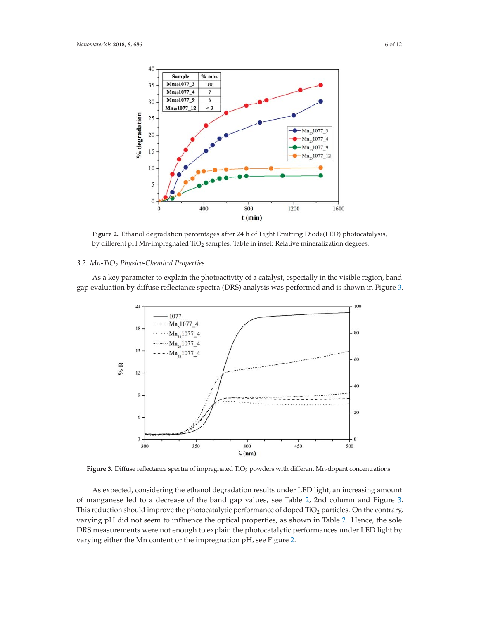

**Figure 2.** Ethanol degradation percentages after 24 h of Light Emitting Diode(LED) photocatalysis, by different pH Mn-impregnated TiO<sub>2</sub> samples. Table in inset: Relative mineralization degrees.

#### *3.2. Mn-TiO2 Physico-Chemical Properties*

As a key parameter to explain the photoactivity of a catalyst, especially in the visible region, band gap evaluation by diffuse reflectance spectra (DRS) analysis was performed and is shown in Figure 3.



Figure 3. Diffuse reflectance spectra of impregnated TiO<sub>2</sub> powders with different Mn-dopant concentrations.

As expected, considering the ethanol degradation results under LED light, an increasing amount of manganese led to a decrease of the band gap values, see Table 2, 2nd column and Figure 3. This reduction should improve the photocatalytic performance of doped TiO<sub>2</sub> particles. On the contrary, varying pH did not seem to influence the optical properties, as shown in Table 2. Hence, the sole DRS measurements were not enough to explain the photocatalytic performances under LED light by varying either the Mn content or the impregnation pH, see Figure 2.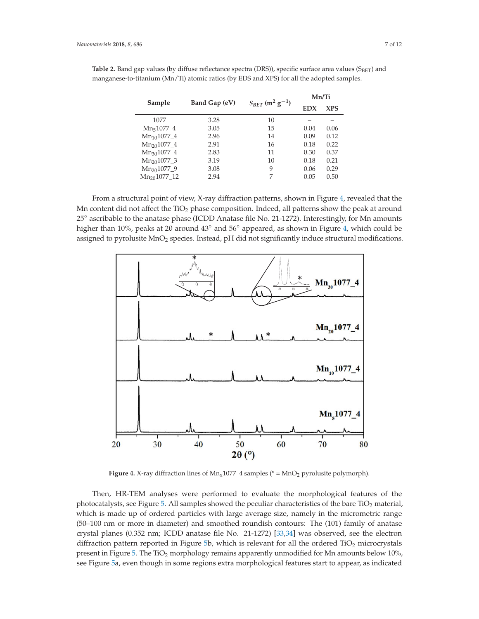|                 | Band Gap (eV) | $S_{BET}$ (m <sup>2</sup> g <sup>-1</sup> ) | Mn/Ti      |            |
|-----------------|---------------|---------------------------------------------|------------|------------|
| Sample          |               |                                             | <b>EDX</b> | <b>XPS</b> |
| 1077            | 3.28          | 10                                          |            |            |
| $Mn51077_4$     | 3.05          | 15                                          | 0.04       | 0.06       |
| $Mn_{10}1077$ 4 | 2.96          | 14                                          | 0.09       | 0.12       |
| $Mn_{20}1077_4$ | 2.91          | 16                                          | 0.18       | 0.22       |
| $Mn_{30}1077$ 4 | 2.83          | 11                                          | 0.30       | 0.37       |
| $Mn_{20}1077_3$ | 3.19          | 10                                          | 0.18       | 0.21       |
| $Mn_{20}1077$ 9 | 3.08          | 9                                           | 0.06       | 0.29       |
| $Mn201077$ 12   | 2.94          | 7                                           | 0.05       | 0.50       |

Table 2. Band gap values (by diffuse reflectance spectra (DRS)), specific surface area values (S<sub>BET</sub>) and manganese-to-titanium (Mn/Ti) atomic ratios (by EDS and XPS) for all the adopted samples.

From a structural point of view, X-ray diffraction patterns, shown in Figure 4, revealed that the Mn content did not affect the  $TiO<sub>2</sub>$  phase composition. Indeed, all patterns show the peak at around 25◦ ascribable to the anatase phase (ICDD Anatase file No. 21-1272). Interestingly, for Mn amounts higher than 10%, peaks at 2θ around 43◦ and 56◦ appeared, as shown in Figure 4, which could be assigned to pyrolusite MnO<sub>2</sub> species. Instead, pH did not significantly induce structural modifications.



**Figure 4.** X-ray diffraction lines of  $Mn_x1077_4$  samples (\* =  $MnO_2$  pyrolusite polymorph).

Then, HR-TEM analyses were performed to evaluate the morphological features of the photocatalysts, see Figure 5. All samples showed the peculiar characteristics of the bare TiO<sub>2</sub> material, which is made up of ordered particles with large average size, namely in the micrometric range (50–100 nm or more in diameter) and smoothed roundish contours: The (101) family of anatase crystal planes (0.352 nm; ICDD anatase file No. 21-1272) [33,34] was observed, see the electron diffraction pattern reported in Figure 5b, which is relevant for all the ordered TiO<sub>2</sub> microcrystals present in Figure 5. The TiO<sub>2</sub> morphology remains apparently unmodified for Mn amounts below 10%, see Figure 5a, even though in some regions extra morphological features start to appear, as indicated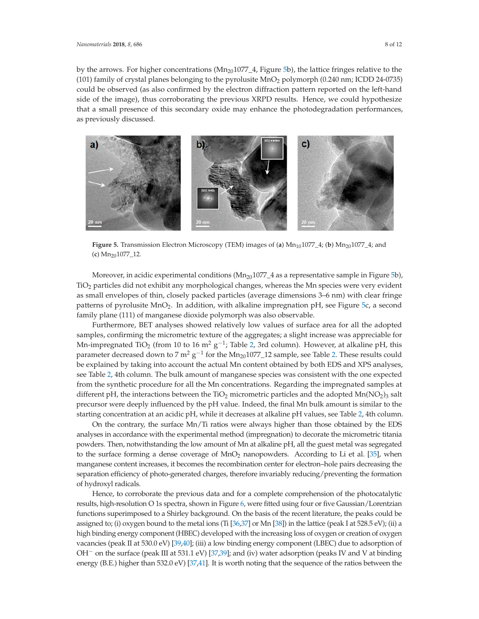by the arrows. For higher concentrations  $(Mn_{20}1077\_4$ , Figure 5b), the lattice fringes relative to the (101) family of crystal planes belonging to the pyrolusite  $MnO<sub>2</sub>$  polymorph (0.240 nm; ICDD 24-0735) could be observed (as also confirmed by the electron diffraction pattern reported on the left-hand side of the image), thus corroborating the previous XRPD results. Hence, we could hypothesize that a small presence of this secondary oxide may enhance the photodegradation performances, as previously discussed.



Figure 5. Transmission Electron Microscopy (TEM) images of (a)  $Mn_{10}1077\_4$ ; (b)  $Mn_{20}1077\_4$ ; and (**c**) Mn201077\_12.

Moreover, in acidic experimental conditions  $(Mn<sub>20</sub>1077<sub>-4</sub>$  as a representative sample in Figure 5b), TiO2 particles did not exhibit any morphological changes, whereas the Mn species were very evident as small envelopes of thin, closely packed particles (average dimensions 3–6 nm) with clear fringe patterns of pyrolusite  $MnO<sub>2</sub>$ . In addition, with alkaline impregnation pH, see Figure 5c, a second family plane (111) of manganese dioxide polymorph was also observable.

Furthermore, BET analyses showed relatively low values of surface area for all the adopted samples, confirming the micrometric texture of the aggregates; a slight increase was appreciable for Mn-impregnated TiO<sub>2</sub> (from 10 to 16 m<sup>2</sup> g<sup>-1</sup>; Table 2, 3rd column). However, at alkaline pH, this parameter decreased down to 7 m<sup>2</sup> g<sup>-1</sup> for the Mn<sub>20</sub>1077\_12 sample, see Table 2. These results could be explained by taking into account the actual Mn content obtained by both EDS and XPS analyses, see Table 2, 4th column. The bulk amount of manganese species was consistent with the one expected from the synthetic procedure for all the Mn concentrations. Regarding the impregnated samples at different pH, the interactions between the TiO<sub>2</sub> micrometric particles and the adopted  $Mn(NO<sub>2</sub>)<sub>3</sub>$  salt precursor were deeply influenced by the pH value. Indeed, the final Mn bulk amount is similar to the starting concentration at an acidic pH, while it decreases at alkaline pH values, see Table 2, 4th column.

On the contrary, the surface Mn/Ti ratios were always higher than those obtained by the EDS analyses in accordance with the experimental method (impregnation) to decorate the micrometric titania powders. Then, notwithstanding the low amount of Mn at alkaline pH, all the guest metal was segregated to the surface forming a dense coverage of MnO<sub>2</sub> nanopowders. According to Li et al. [35], when manganese content increases, it becomes the recombination center for electron–hole pairs decreasing the separation efficiency of photo-generated charges, therefore invariably reducing/preventing the formation of hydroxyl radicals.

Hence, to corroborate the previous data and for a complete comprehension of the photocatalytic results, high-resolution O 1s spectra, shown in Figure 6, were fitted using four or five Gaussian/Lorentzian functions superimposed to a Shirley background. On the basis of the recent literature, the peaks could be assigned to; (i) oxygen bound to the metal ions (Ti  $[36,37]$  or Mn  $[38]$ ) in the lattice (peak I at 528.5 eV); (ii) a high binding energy component (HBEC) developed with the increasing loss of oxygen or creation of oxygen vacancies (peak II at 530.0 eV) [39,40]; (iii) a low binding energy component (LBEC) due to adsorption of OH− on the surface (peak III at 531.1 eV) [37,39]; and (iv) water adsorption (peaks IV and V at binding energy (B.E.) higher than 532.0 eV) [37,41]. It is worth noting that the sequence of the ratios between the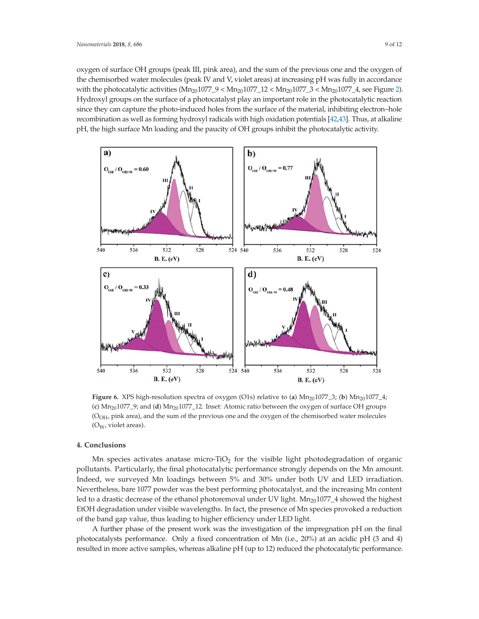oxygen of surface OH groups (peak III, pink area), and the sum of the previous one and the oxygen of the chemisorbed water molecules (peak IV and V, violet areas) at increasing pH was fully in accordance with the photocatalytic activities  $(Mn_{20}1077_9 < Mn_{20}1077_12 < Mn_{20}1077_3 < Mn_{20}1077_4$ , see Figure 2). Hydroxyl groups on the surface of a photocatalyst play an important role in the photocatalytic reaction since they can capture the photo-induced holes from the surface of the material, inhibiting electron–hole recombination as well as forming hydroxyl radicals with high oxidation potentials [42,43]. Thus, at alkaline pH, the high surface Mn loading and the paucity of OH groups inhibit the photocatalytic activity.



**Figure 6.** XPS high-resolution spectra of oxygen (O1s) relative to (a)  $Mn_{20}1077_3$ ; (b)  $Mn_{20}1077_4$ ;  $(c)$  Mn<sub>20</sub>1077\_9; and  $(d)$  Mn<sub>20</sub>1077\_12. Inset: Atomic ratio between the oxygen of surface OH groups (OOH, pink area), and the sum of the previous one and the oxygen of the chemisorbed water molecules (OW, violet areas).

#### **4. Conclusions**

Mn species activates anatase micro-TiO<sub>2</sub> for the visible light photodegradation of organic pollutants. Particularly, the final photocatalytic performance strongly depends on the Mn amount. Indeed, we surveyed Mn loadings between 5% and 30% under both UV and LED irradiation. Nevertheless, bare 1077 powder was the best performing photocatalyst, and the increasing Mn content led to a drastic decrease of the ethanol photoremoval under UV light.  $Mn_{20}1077\_4$  showed the highest EtOH degradation under visible wavelengths. In fact, the presence of Mn species provoked a reduction of the band gap value, thus leading to higher efficiency under LED light.

A further phase of the present work was the investigation of the impregnation pH on the final photocatalysts performance. Only a fixed concentration of Mn (i.e., 20%) at an acidic pH (3 and 4) resulted in more active samples, whereas alkaline pH (up to 12) reduced the photocatalytic performance.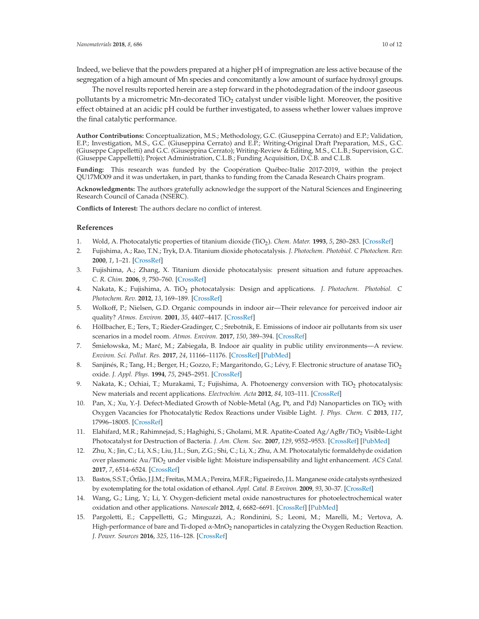Indeed, we believe that the powders prepared at a higher pH of impregnation are less active because of the segregation of a high amount of Mn species and concomitantly a low amount of surface hydroxyl groups.

The novel results reported herein are a step forward in the photodegradation of the indoor gaseous pollutants by a micrometric Mn-decorated TiO<sub>2</sub> catalyst under visible light. Moreover, the positive effect obtained at an acidic pH could be further investigated, to assess whether lower values improve the final catalytic performance.

**Author Contributions:** Conceptualization, M.S.; Methodology, G.C. (Giuseppina Cerrato) and E.P.; Validation, E.P.; Investigation, M.S., G.C. (Giuseppina Cerrato) and E.P.; Writing-Original Draft Preparation, M.S., G.C. (Giuseppe Cappelletti) and G.C. (Giuseppina Cerrato); Writing-Review & Editing, M.S., C.L.B.; Supervision, G.C. (Giuseppe Cappelletti); Project Administration, C.L.B.; Funding Acquisition, D.C.B. and C.L.B.

**Funding:** This research was funded by the Coopération Québec-Italie 2017-2019, within the project QU17MO09 and it was undertaken, in part, thanks to funding from the Canada Research Chairs program.

**Acknowledgments:** The authors gratefully acknowledge the support of the Natural Sciences and Engineering Research Council of Canada (NSERC).

**Conflicts of Interest:** The authors declare no conflict of interest.

#### **References**

- 1. Wold, A. Photocatalytic properties of titanium dioxide (TiO2). *Chem. Mater.* **1993**, *5*, 280–283. [CrossRef]
- 2. Fujishima, A.; Rao, T.N.; Tryk, D.A. Titanium dioxide photocatalysis. *J. Photochem. Photobiol. C Photochem. Rev.* **2000**, *1*, 1–21. [CrossRef]
- 3. Fujishima, A.; Zhang, X. Titanium dioxide photocatalysis: present situation and future approaches. *C. R. Chim.* **2006**, *9*, 750–760. [CrossRef]
- 4. Nakata, K.; Fujishima, A. TiO2 photocatalysis: Design and applications. *J. Photochem. Photobiol. C Photochem. Rev.* **2012**, *13*, 169–189. [CrossRef]
- 5. Wolkoff, P.; Nielsen, G.D. Organic compounds in indoor air—Their relevance for perceived indoor air quality? *Atmos. Environ.* **2001**, *35*, 4407–4417. [CrossRef]
- 6. Höllbacher, E.; Ters, T.; Rieder-Gradinger, C.; Srebotnik, E. Emissions of indoor air pollutants from six user scenarios in a model room. *Atmos. Environ.* **2017**, *150*, 389–394. [CrossRef]
- 7. Śmiełowska, M.; Marć, M.; Zabiegała, B. Indoor air quality in public utility environments—A review. *Environ. Sci. Pollut. Res.* **2017**, *24*, 11166–11176. [CrossRef] [PubMed]
- 8. Sanjinés, R.; Tang, H.; Berger, H.; Gozzo, F.; Margaritondo, G.; Lévy, F. Electronic structure of anatase TiO<sub>2</sub> oxide. *J. Appl. Phys.* **1994**, *75*, 2945–2951. [CrossRef]
- 9. Nakata, K.; Ochiai, T.; Murakami, T.; Fujishima, A. Photoenergy conversion with TiO<sub>2</sub> photocatalysis: New materials and recent applications. *Electrochim. Acta* **2012**, *84*, 103–111. [CrossRef]
- 10. Pan, X.; Xu, Y.-J. Defect-Mediated Growth of Noble-Metal (Ag, Pt, and Pd) Nanoparticles on TiO<sub>2</sub> with Oxygen Vacancies for Photocatalytic Redox Reactions under Visible Light. *J. Phys. Chem. C* **2013**, *117*, 17996–18005. [CrossRef]
- 11. Elahifard, M.R.; Rahimnejad, S.; Haghighi, S.; Gholami, M.R. Apatite-Coated Ag/AgBr/TiO2 Visible-Light Photocatalyst for Destruction of Bacteria. *J. Am. Chem. Soc.* **2007**, *129*, 9552–9553. [CrossRef] [PubMed]
- 12. Zhu, X.; Jin, C.; Li, X.S.; Liu, J.L.; Sun, Z.G.; Shi, C.; Li, X.; Zhu, A.M. Photocatalytic formaldehyde oxidation over plasmonic Au/TiO<sub>2</sub> under visible light: Moisture indispensability and light enhancement. *ACS Catal*. **2017**, *7*, 6514–6524. [CrossRef]
- 13. Bastos, S.S.T.; Órfão, J.J.M.; Freitas, M.M.A.; Pereira, M.F.R.; Figueiredo, J.L. Manganese oxide catalysts synthesized by exotemplating for the total oxidation of ethanol. *Appl. Catal. B Environ.* **2009**, *93*, 30–37. [CrossRef]
- 14. Wang, G.; Ling, Y.; Li, Y. Oxygen-deficient metal oxide nanostructures for photoelectrochemical water oxidation and other applications. *Nanoscale* **2012**, *4*, 6682–6691. [CrossRef] [PubMed]
- 15. Pargoletti, E.; Cappelletti, G.; Minguzzi, A.; Rondinini, S.; Leoni, M.; Marelli, M.; Vertova, A. High-performance of bare and Ti-doped α-MnO2 nanoparticles in catalyzing the Oxygen Reduction Reaction. *J. Power. Sources* **2016**, *325*, 116–128. [CrossRef]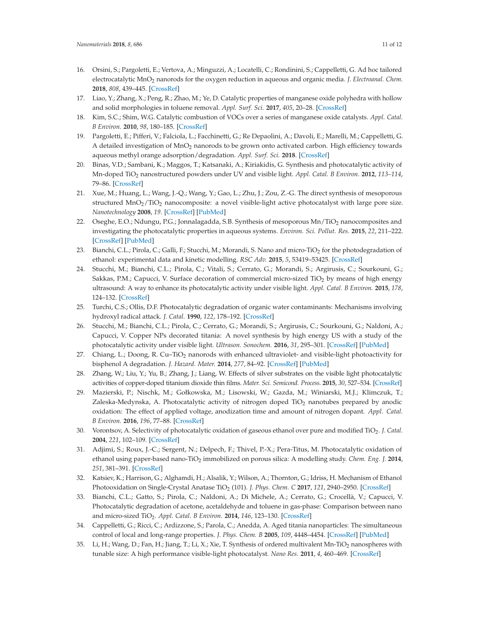- 16. Orsini, S.; Pargoletti, E.; Vertova, A.; Minguzzi, A.; Locatelli, C.; Rondinini, S.; Cappelletti, G. Ad hoc tailored electrocatalytic MnO2 nanorods for the oxygen reduction in aqueous and organic media. *J. Electroanal. Chem.* **2018**, *808*, 439–445. [CrossRef]
- 17. Liao, Y.; Zhang, X.; Peng, R.; Zhao, M.; Ye, D. Catalytic properties of manganese oxide polyhedra with hollow and solid morphologies in toluene removal. *Appl. Surf. Sci.* **2017**, *405*, 20–28. [CrossRef]
- 18. Kim, S.C.; Shim, W.G. Catalytic combustion of VOCs over a series of manganese oxide catalysts. *Appl. Catal. B Environ.* **2010**, *98*, 180–185. [CrossRef]
- 19. Pargoletti, E.; Pifferi, V.; Falciola, L.; Facchinetti, G.; Re Depaolini, A.; Davoli, E.; Marelli, M.; Cappelletti, G. A detailed investigation of  $MnO<sub>2</sub>$  nanorods to be grown onto activated carbon. High efficiency towards aqueous methyl orange adsorption/degradation. *Appl. Surf. Sci.* **2018**. [CrossRef]
- 20. Binas, V.D.; Sambani, K.; Maggos, T.; Katsanaki, A.; Kiriakidis, G. Synthesis and photocatalytic activity of Mn-doped TiO2 nanostructured powders under UV and visible light. *Appl. Catal. B Environ.* **2012**, *113–114*, 79–86. [CrossRef]
- 21. Xue, M.; Huang, L.; Wang, J.-Q.; Wang, Y.; Gao, L.; Zhu, J.; Zou, Z.-G. The direct synthesis of mesoporous structured MnO<sub>2</sub>/TiO<sub>2</sub> nanocomposite: a novel visible-light active photocatalyst with large pore size. *Nanotechnology* **2008**, *19*. [CrossRef] [PubMed]
- 22. Oseghe, E.O.; Ndungu, P.G.; Jonnalagadda, S.B. Synthesis of mesoporous Mn/TiO<sub>2</sub> nanocomposites and investigating the photocatalytic properties in aqueous systems. *Environ. Sci. Pollut. Res.* **2015**, *22*, 211–222. [CrossRef] [PubMed]
- 23. Bianchi, C.L.; Pirola, C.; Galli, F.; Stucchi, M.; Morandi, S. Nano and micro-TiO<sub>2</sub> for the photodegradation of ethanol: experimental data and kinetic modelling. *RSC Adv.* **2015**, *5*, 53419–53425. [CrossRef]
- 24. Stucchi, M.; Bianchi, C.L.; Pirola, C.; Vitali, S.; Cerrato, G.; Morandi, S.; Argirusis, C.; Sourkouni, G.; Sakkas, P.M.; Capucci, V. Surface decoration of commercial micro-sized  $TiO<sub>2</sub>$  by means of high energy ultrasound: A way to enhance its photocatalytic activity under visible light. *Appl. Catal. B Environ.* **2015**, *178*, 124–132. [CrossRef]
- 25. Turchi, C.S.; Ollis, D.F. Photocatalytic degradation of organic water contaminants: Mechanisms involving hydroxyl radical attack. *J. Catal.* **1990**, *122*, 178–192. [CrossRef]
- 26. Stucchi, M.; Bianchi, C.L.; Pirola, C.; Cerrato, G.; Morandi, S.; Argirusis, C.; Sourkouni, G.; Naldoni, A.; Capucci, V. Copper NPs decorated titania: A novel synthesis by high energy US with a study of the photocatalytic activity under visible light. *Ultrason. Sonochem.* **2016**, *31*, 295–301. [CrossRef] [PubMed]
- 27. Chiang, L.; Doong, R. Cu–TiO<sub>2</sub> nanorods with enhanced ultraviolet- and visible-light photoactivity for bisphenol A degradation. *J. Hazard. Mater.* **2014**, *277*, 84–92. [CrossRef] [PubMed]
- 28. Zhang, W.; Liu, Y.; Yu, B.; Zhang, J.; Liang, W. Effects of silver substrates on the visible light photocatalytic activities of copper-doped titanium dioxide thin films. *Mater. Sci. Semicond. Process.* **2015**, *30*, 527–534. [CrossRef]
- 29. Mazierski, P.; Nischk, M.; Gołkowska, M.; Lisowski, W.; Gazda, M.; Winiarski, M.J.; Klimczuk, T.; Zaleska-Medynska, A. Photocatalytic activity of nitrogen doped  $TiO<sub>2</sub>$  nanotubes prepared by anodic oxidation: The effect of applied voltage, anodization time and amount of nitrogen dopant. *Appl. Catal. B Environ.* **2016**, *196*, 77–88. [CrossRef]
- 30. Vorontsov, A. Selectivity of photocatalytic oxidation of gaseous ethanol over pure and modified TiO<sub>2</sub>. *J. Catal.* **2004**, *221*, 102–109. [CrossRef]
- 31. Adjimi, S.; Roux, J.-C.; Sergent, N.; Delpech, F.; Thivel, P.-X.; Pera-Titus, M. Photocatalytic oxidation of ethanol using paper-based nano-TiO2 immobilized on porous silica: A modelling study. *Chem. Eng. J.* **2014**, *251*, 381–391. [CrossRef]
- 32. Katsiev, K.; Harrison, G.; Alghamdi, H.; Alsalik, Y.; Wilson, A.; Thornton, G.; Idriss, H. Mechanism of Ethanol Photooxidation on Single-Crystal Anatase TiO<sub>2</sub> (101). *J. Phys. Chem. C* 2017, 121, 2940–2950. [CrossRef]
- 33. Bianchi, C.L.; Gatto, S.; Pirola, C.; Naldoni, A.; Di Michele, A.; Cerrato, G.; Crocellà, V.; Capucci, V. Photocatalytic degradation of acetone, acetaldehyde and toluene in gas-phase: Comparison between nano and micro-sized TiO2. *Appl. Catal. B Environ.* **2014**, *146*, 123–130. [CrossRef]
- 34. Cappelletti, G.; Ricci, C.; Ardizzone, S.; Parola, C.; Anedda, A. Aged titania nanoparticles: The simultaneous control of local and long-range properties. *J. Phys. Chem. B* **2005**, *109*, 4448–4454. [CrossRef] [PubMed]
- 35. Li, H.; Wang, D.; Fan, H.; Jiang, T.; Li, X.; Xie, T. Synthesis of ordered multivalent Mn-TiO2 nanospheres with tunable size: A high performance visible-light photocatalyst. *Nano Res.* **2011**, *4*, 460–469. [CrossRef]